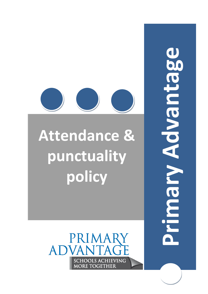Advantage **Primary Advantage**Vigonia



# **Attendance & punctuality policy**

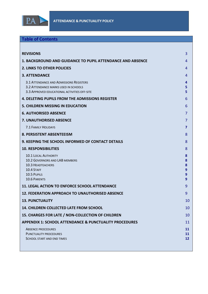

## **Table of Contents**

| <b>REVISIONS</b><br>3                                                                                                                                                              |                |
|------------------------------------------------------------------------------------------------------------------------------------------------------------------------------------|----------------|
| 1. BACKGROUND AND GUIDANCE TO PUPIL ATTENDANCE AND ABSENCE<br>4                                                                                                                    |                |
| <b>2. LINKS TO OTHER POLICIES</b><br>4                                                                                                                                             |                |
| <b>3. ATTENDANCE</b><br>4                                                                                                                                                          |                |
| 3.1 ATTENDANCE AND ADMISSIONS REGISTERS<br>4<br>5<br>3.2 ATTENDANCE MARKS USED IN SCHOOLS<br>5<br>3.3 APPROVED EDUCATIONAL ACTIVITIES OFF-SITE                                     |                |
| <b>4. DELETING PUPILS FROM THE ADMISSIONS REGISTER</b><br>6                                                                                                                        |                |
| <b>5. CHILDREN MISSING IN EDUCATION</b><br>6                                                                                                                                       |                |
| <b>6. AUTHORISED ABSENCE</b><br>7                                                                                                                                                  |                |
| <b>7. UNAUTHORISED ABSENCE</b>                                                                                                                                                     | 7              |
| 7.1 FAMILY HOLIDAYS<br>7                                                                                                                                                           |                |
| <b>8. PERSISTENT ABSENTEEISM</b><br>8                                                                                                                                              |                |
| 9. KEEPING THE SCHOOL INFORMED OF CONTACT DETAILS<br>8                                                                                                                             |                |
| <b>10. RESPONSIBILITIES</b><br>8                                                                                                                                                   |                |
| <b>10.1 LOCAL AUTHORITY</b><br>8<br><b>10.2 GOVERNORS AND LAB MEMBERS</b><br>8<br><b>10.3 HEADTEACHERS</b><br>8<br>10.4 STAFF<br>9<br>10.5 PUPILS<br>9<br><b>10.6 PARENTS</b><br>9 |                |
| <b>11. LEGAL ACTION TO ENFORCE SCHOOL ATTENDANCE</b><br>9                                                                                                                          |                |
| <b>12. FEDERATION APPROACH TO UNAUTHORISED ABSENCE</b><br>9                                                                                                                        |                |
| <b>13. PUNCTUALITY</b>                                                                                                                                                             | 10             |
| 14. CHILDREN COLLECTED LATE FROM SCHOOL                                                                                                                                            | 10             |
| 15. CHARGES FOR LATE / NON-COLLECTION OF CHILDREN                                                                                                                                  | 10             |
| <b>APPENDIX 1: SCHOOL ATTENDANCE &amp; PUNCTUALITY PROCEDURES</b>                                                                                                                  | 11             |
| <b>ABSENCE PROCEDURES</b><br><b>PUNCTUALITY PROCEDURES</b><br>SCHOOL START AND END TIMES                                                                                           | 11<br>11<br>12 |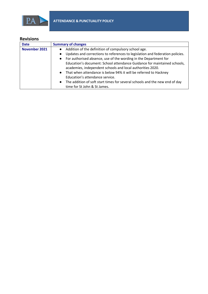

## <span id="page-2-0"></span>**Revisions**

| <b>Date</b>          | <b>Summary of changes</b>                                                                  |
|----------------------|--------------------------------------------------------------------------------------------|
| <b>November 2021</b> | Addition of the definition of compulsory school age.<br>$\bullet$                          |
|                      | Updates and corrections to references to legislation and federation policies.<br>$\bullet$ |
|                      | For authorised absence, use of the wording in the Department for<br>$\bullet$              |
|                      | Education's document: School attendance Guidance for maintained schools,                   |
|                      | academies, independent schools and local authorities 2020.                                 |
|                      | That when attendance is below 94% it will be referred to Hackney<br>$\bullet$              |
|                      | Education's attendance service.                                                            |
|                      | The addition of soft start times for several schools and the new end of day<br>$\bullet$   |
|                      | time for St John & St James.                                                               |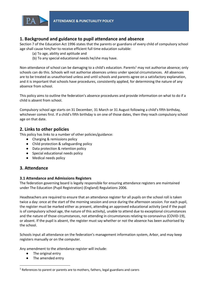

## <span id="page-3-0"></span>**1. Background and guidance to pupil attendance and absence**

Section 7 of the Education Act 1996 states that the parents or guardians of every child of compulsory school age shall cause him/her to receive efficient full time education suitable:

- (a) To age, ability and aptitude and
- (b) To any special educational needs he/she may have.

Non-attendance of school can be damaging to a child's education. Parents<sup>1</sup> may not authorise absence; only schools can do this. Schools will not authorise absences unless under special circumstances. All absences are to be treated as unauthorised unless and until schools and parents agree on a satisfactory explanation, and it is important that schools have procedures, consistently applied, for determining the nature of any absence from school.

This policy aims to outline the federation's absence procedures and provide information on what to do if a child is absent from school.

Compulsory school age starts on 31 December, 31 March or 31 August following a child's fifth birthday, whichever comes first. If a child's fifth birthday is on one of those dates, then they reach compulsory school age on that date.

## <span id="page-3-1"></span>**2. Links to other policies**

This policy has links to a number of other policies/guidance:

- Charging & remissions policy
- Child protection & safeguarding policy
- Data protection & retention policy
- Special educational needs policy
- Medical needs policy

## <span id="page-3-2"></span>**3. Attendance**

#### <span id="page-3-3"></span>**3.1 Attendance and Admissions Registers**

The federation governing board is legally responsible for ensuring attendance registers are maintained under The Education (Pupil Registration) (England) Regulations 2006.

Headteachers are required to ensure that an attendance register for all pupils on the school roll is taken twice a day: once at the start of the morning session and once during the afternoon session. For each pupil, the register must be marked either as present, attending an approved educational activity (and if the pupil is of compulsory school age, the nature of this activity), unable to attend due to exceptional circumstances and the nature of those circumstances, not attending in circumstances relating to coronavirus (COVID-19), or absent. If the pupil is absent, the register must say whether or not the absence has been authorised by the school.

Schools input all attendance on the federation's management information system, Arbor, and may keep registers manually or on the computer.

Any amendment to the attendance register will include:

The original entry

**.** 

The amended entry

 $1$  References to parent or parents are to mothers, fathers, legal guardians and carers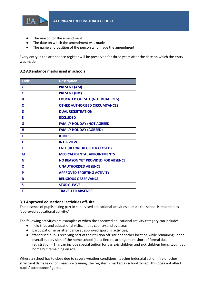

- The reason for the amendment
- The date on which the amendment was made
- The name and position of the person who made the amendment

Every entry in the attendance register will be preserved for three years after the date on which the entry was made.

#### <span id="page-4-0"></span>**3.2 Attendance marks used in schools**

| Code | <b>Description</b>                        |
|------|-------------------------------------------|
| I    | <b>PRESENT (AM)</b>                       |
|      | <b>PRESENT (PM)</b>                       |
| B    | <b>EDUCATED OFF SITE (NOT DUAL. REG)</b>  |
| C    | <b>OTHER AUTHORISED CIRCUMTANCES</b>      |
| D    | <b>DUAL REGSITRATION</b>                  |
| F    | <b>EXCLUDED</b>                           |
| G    | <b>FAMILY HOLIDAY (NOT AGREED)</b>        |
| н    | <b>FAMILY HOLIDAY (AGREED)</b>            |
|      | <b>ILLNESS</b>                            |
| J    | <b>INTERVIEW</b>                          |
| L    | <b>LATE (BEFORE REGSITER CLOSED)</b>      |
| M    | <b>MEDICAL/DENTAL APPOINTMENTS</b>        |
| N    | <b>NO REASON YET PROVIDED FOR ABSENCE</b> |
| Ο    | <b>UNAUTHORISED ABSENCE</b>               |
| P    | <b>APPROVED SPORTING ACTIVITY</b>         |
| R    | <b>RELIGIOUS OBSERVANCE</b>               |
| S    | <b>STUDY LEAVE</b>                        |
| т    | <b>TRAVELLER ABSENCE</b>                  |

#### <span id="page-4-1"></span>**3.3 Approved educational activities off-site**

The absence of pupils taking part in supervised educational activities outside the school is recorded as 'approved educational activity.'

The following activities are examples of when the approved educational activity category can include:

- field trips and educational visits, in this country and overseas;
- participation in or attendance at approved sporting activities;
- franchised pupils receiving part of their tuition off-site at another location while remaining under overall supervision of the home school (i.e. a flexible arrangement short of formal dual registration). This can include special tuition for dyslexic children and sick children being taught at home but remaining on roll.

Where a school has to close due to severe weather conditions, teacher industrial action, fire or other structural damage or for in-service training, the register is marked as school closed. This does not affect pupils' attendance figures.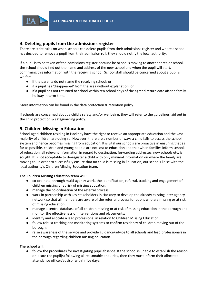

## <span id="page-5-0"></span>**4. Deleting pupils from the admissions register**

There are strict rules on when schools can delete pupils from their admissions register and where a school has decided to remove a pupil from their admission roll, they should notify the local authority.

If a pupil is to be taken off the admissions register because he or she is moving to another area or school, the school should find out the name and address of the new school and when the pupil will start, confirming this information with the receiving school. School staff should be concerned about a pupil's welfare:

- if the parents do not name the receiving school; or
- if a pupil has 'disappeared' from the area without explanation; or
- if a pupil has not returned to school within ten school days of the agreed return date after a family holiday in term-time.

More information can be found in the data protection & retention policy.

If schools are concerned about a child's safety and/or wellbeing, they will refer to the guidelines laid out in the child protection & safeguarding policy.

## <span id="page-5-1"></span>**5. Children Missing in Education**

School aged children residing in Hackney have the right to receive an appropriate education and the vast majority of children are doing so. However, there are a number of ways a child fails to access the school system and hence becomes missing from education. It is vital our schools are proactive in ensuring that as far as possible, children and young people are not lost to education and that when families inform schools of relocation, all relevant information in regard to destination, forwarding addresses, new schools etc. is sought. It is not acceptable to de-register a child with only minimal information on where the family are moving to. In order to successfully ensure that no child is missing in Education, our schools liaise with the local authority's Children Missing Education team.

#### **The Children Missing Education team will:**

- co-ordinate, through multi-agency work, the identification, referral, tracking and engagement of children missing or at risk of missing education;
- manage the co-ordination of the referral process;
- work in partnership with key stakeholders in Hackney to develop the already existing inter agency network so that all members are aware of the referral process for pupils who are missing or at risk of missing education;
- manage a central database of all children missing or at risk of missing education in the borough and monitor the effectiveness of interventions and placements;
- identify and allocate a lead professional in relation to Children Missing Education;
- follow robust tracking and monitoring systems to confirm residency of children moving out of the borough;
- raise awareness of the service and provide guidance/advice to all schools and lead professionals in the borough regarding children missing education.

#### **The school will:**

● follow the procedures for investigating pupil absence. If the school is unable to establish the reason or locate the pupil(s) following all reasonable enquiries, then they must inform their allocated attendance officer/advisor within five days;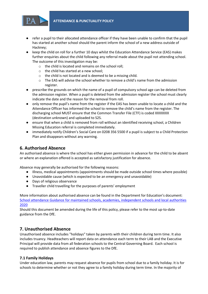

- refer a pupil to their allocated attendance officer if they have been unable to confirm that the pupil has started at another school should the parent inform the school of a new address outside of Hackney;
- keep the child on roll for a further 10 days whilst the Education Attendance Service (EAS) makes further enquiries about the child following any referral made about the pupil not attending school. The outcome of this investigation may be:
	- o the child is located and remains on the school roll;
	- o the child has started at a new school;
	- o the child is not located and is deemed to be a missing child.
	- o The EAS will advise the school whether to remove a child's name from the admission register.
- prescribe the grounds on which the name of a pupil of compulsory school age can be deleted from the admission register. When a pupil is deleted from the admission register the school must clearly indicate the date and the reason for the removal from roll.
- only remove the pupil's name from the register if the EAS has been unable to locate a child and the Attendance Officer has informed the school to remove the child's name from the register. The discharging school MUST ensure that the Common Transfer File (CTF) is coded XXXXXXX (destination unknown) and uploaded to S2S.
- ensure that when a child is removed from roll without an identified receiving school, a Children Missing Education referral is completed immediately.
- immediately notify Children's Social Care on 0208 356 5500 if a pupil is subject to a Child Protection Plan and disappears without any warning.

## <span id="page-6-0"></span>**6. Authorised Absence**

An authorised absence is where the school has either given permission in advance for the child to be absent or where an explanation offered is accepted as satisfactory justification for absence.

Absence may generally be authorised for the following reasons:

- Illness, medical appointments (appointments should be made outside school times where possible)
- Unavoidable cause (which is expected to be an emergency and unavoidable)
- Days of religious observance
- Traveller child travelling for the purposes of parents' employment

More information about authorised absence can be found in the Department for Education's document: [School attendance Guidance for maintained schools, academies, independent schools and local authorities](https://assets.publishing.service.gov.uk/government/uploads/system/uploads/attachment_data/file/907535/School_attendance_guidance_for_2020_to_2021_academic_year.pdf)  [2020](https://assets.publishing.service.gov.uk/government/uploads/system/uploads/attachment_data/file/907535/School_attendance_guidance_for_2020_to_2021_academic_year.pdf)

Should this document be amended during the life of this policy, please refer to the most up-to-date guidance from the DfE.

## <span id="page-6-1"></span>**7. Unauthorised Absence**

Unauthorised absence includes "holidays" taken by parents with their children during term time. It also includes truancy. Headteachers will report data on attendance each term to their LAB and the Executive Principal will provide data from all federation schools to the Central Governing Board. Each school is required to publish attendance and absence figures to the DfE.

#### <span id="page-6-2"></span>**7.1 Family Holidays**

Under education law, parents may request absence for pupils from school due to a family holiday. It is for schools to determine whether or not they agree to a family holiday during term time. In the majority of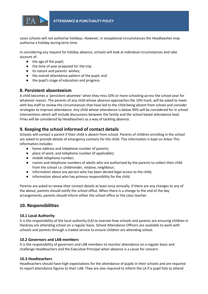

cases schools will not authorise holidays. However, in exceptional circumstances the Headteacher may authorise a holiday during term time.

In considering any request for holiday absence, schools will look at individual circumstances and take account of:

- the age of the pupil;
- the time of year proposed for the trip;
- its nature and parents' wishes;
- the overall attendance pattern of the pupil; and
- the pupil's stage of education and progress.

#### <span id="page-7-0"></span>**8. Persistent absenteeism**

A child becomes a 'persistent absentee' when they miss 10% or more schooling across the school year for whatever reason. The parents of any child whose absence approaches the 10% mark, will be asked to meet with key staff to review the circumstances that have led to the child being absent from school and consider strategies to improve attendance. Any child whose attendance is below 94% will be considered for in school interventions which will include discussions between the family and the school based attendance lead. Fines will be considered by Headteachers as a way of tackling absence.

## <span id="page-7-1"></span>**9. Keeping the school informed of contact details**

Schools will contact a parent if their child is absent from school. Parents of children enrolling in the school are asked to provide details of emergency contacts for the child. This information is kept on Arbor This information includes:

- home address and telephone number of parents;
- place of work, and telephone number (if applicable);
- mobile telephone number;
- names and telephone numbers of adults who are authorised by the parents to collect their child from the school i.e. childminder, relative, neighbour;
- information about any person who has been denied legal access to the child;
- information about who has primary responsibility for the child.

Parents are asked to renew their contact details at least once annually. If there are any changes to any of the above, parents should notify the school office. When there is a change to the end of the day arrangements, parents should inform either the school office or the class teacher.

## <span id="page-7-2"></span>**10. Responsibilities**

#### <span id="page-7-3"></span>**10.1 Local Authority**

It is the responsibility of the local authority (LA) to oversee how schools and parents are ensuring children in Hackney are attending school on a regular basis. School Attendance Officers are available to work with schools and parents through a traded service to ensure children are attending school.

#### <span id="page-7-4"></span>**10.2 Governors and LAB members**

It is the responsibility of governors and LAB members to monitor attendance on a regular basis and challenge Headteachers and the Executive Principal when absence is a cause for concern.

#### <span id="page-7-5"></span>**10.3 Headteachers**

Headteachers should have high expectations for the attendance of pupils in their schools and are required to report attendance figures to their LAB. They are also required to inform the LA if a pupil fails to attend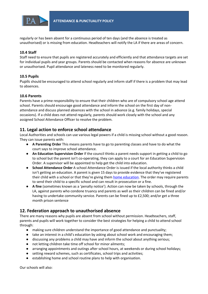

regularly or has been absent for a continuous period of ten days (and the absence is treated as unauthorised) or is missing from education. Headteachers will notify the LA if there are areas of concern.

#### <span id="page-8-0"></span>**10.4 Staff**

Staff need to ensure that pupils are registered accurately and efficiently and that attendance targets are set for individual pupils and year groups. Parents should be contacted when reasons for absence are unknown or unauthorised. Pupil attendance and lateness need to be monitored regularly.

#### <span id="page-8-1"></span>**10.5 Pupils**

Pupils should be encouraged to attend school regularly and inform staff if there is a problem that may lead to absences.

#### <span id="page-8-2"></span>**10.6 Parents**

Parents have a prime responsibility to ensure that their children who are of compulsory school age attend school. Parents should encourage good attendance and inform the school on the first day of nonattendance and discuss planned absences with the school in advance (e.g. family holidays, special occasions). If a child does not attend regularly, parents should work closely with the school and any assigned School Attendance Officer to resolve the problem.

## <span id="page-8-3"></span>**11. Legal action to enforce school attendance**

Local Authorities and schools can use various legal powers if a child is missing school without a good reason. They can issue parents with:

- **A Parenting Order** This means parents have to go to parenting classes and have to do what the court says to improve school attendance.
- **An Education Supervision Order** If the council thinks a parent needs support in getting a child to go to school but the parent isn't co-operating, they can apply to a court for an Education Supervision Order. A supervisor will be appointed to help get the child into education.
- **School Attendance Order** A school Attendance Order is issued if the local authority thinks a child isn't getting an education. A parent is given 15 days to provide evidence that they've registered their child with a school or that they're giving them [home education.](https://www.gov.uk/home-education) The order may require parents to send their child to a specific school and can result in prosecution or a fine.
- **A fine** (sometimes known as a 'penalty notice'). Action can now be taken by schools, through the LA, against parents who condone truancy and parents as well as their children can be fined and/or having to undertake community service. Parents can be fined up to £2,500; and/or get a three month prison sentence

## <span id="page-8-4"></span>**12. Federation approach to unauthorised absence**

There are many reasons why pupils are absent from school without permission. Headteachers, staff, parents and pupils will work together to consider the best strategies for helping a child to attend school through:

- making sure children understand the importance of good attendance and punctuality;
- take an interest in a child's education by asking about school work and encouraging them;
- discussing any problems a child may have and inform the school about anything serious;
- not letting children take time off school for minor ailments;
- arranging appointments and outings after school hours, at weekends or during school holidays;
- setting reward schemes, such as certificates, school trips and activities;
- establishing home and school routine plans to help with organisation.

Our schools will also: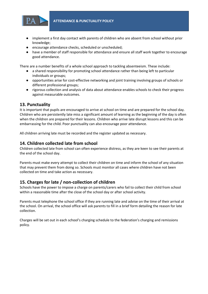

- implement a first day contact with parents of children who are absent from school without prior knowledge;
- encourage attendance checks, scheduled or unscheduled;
- have a member of staff responsible for attendance and ensure all staff work together to encourage good attendance.

There are a number benefits of a whole school approach to tackling absenteeism. These include:

- a shared responsibility for promoting school attendance rather than being left to particular individuals or groups;
- opportunities arise for cost-effective networking and joint training involving groups of schools or different professional groups;
- rigorous collection and analysis of data about attendance enables schools to check their progress against measurable outcomes.

## <span id="page-9-0"></span>**13. Punctuality**

It is important that pupils are encouraged to arrive at school on time and are prepared for the school day. Children who are persistently late miss a significant amount of learning as the beginning of the day is often when the children are prepared for their lessons. Children who arrive late disrupt lessons and this can be embarrassing for the child. Poor punctuality can also encourage poor attendance.

All children arriving late must be recorded and the register updated as necessary.

## <span id="page-9-1"></span>**14. Children collected late from school**

Children collected late from school can often experience distress, as they are keen to see their parents at the end of the school day.

Parents must make every attempt to collect their children on time and inform the school of any situation that may prevent them from doing so. Schools must monitor all cases where children have not been collected on time and take action as necessary.

## <span id="page-9-2"></span>**15. Charges for late / non-collection of children**

Schools have the power to impose a charge on parents/carers who fail to collect their child from school within a reasonable time after the close of the school day or after school activity.

Parents must telephone the school office if they are running late and advise on the time of their arrival at the school. On arrival, the school office will ask parents to fill in a brief form detailing the reason for late collection.

Charges will be set out in each school's charging schedule to the federation's charging and remissions policy.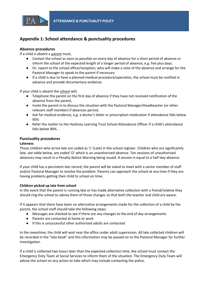

## <span id="page-10-0"></span>**Appendix 1: School attendance & punctuality procedures**

#### <span id="page-10-1"></span>**Absence procedures**

If a child is absent a parent must;

- Contact the school as soon as possible on every day of absence for a short period of absence or inform the school of the expected length of a longer period of absence, e.g. five plus days.
- Or, report to the school office/reception, who will make a note of the absence and arrange for the Pastoral Manager to speak to the parent if necessary
- If a child is due to have a planned medical procedure/operation, the school must be notified in advance and provide documentary evidence.

If your child is absent the school will;

- Telephone the parent on the first day of absence if they have not received notification of the absence from the parent,
- Invite the parent in to discuss the situation with the Pastoral Manager/Headteacher (or other relevant staff member) if absences persist;
- Ask for medical evidence, e.g. a doctor's letter or prescription medication if attendance falls below 95%
- Refer the matter to the Hackney Learning Trust School Attendance Officer if a child's attendance falls below 90%.

#### <span id="page-10-2"></span>**Punctuality procedures**

#### **Lateness**

Those children who arrive late are coded as 'L' (Late) in the school register. Children who are significantly late, see table below, are coded 'O' which is an unauthorised absence. Ten sessions of unauthorised absences may result in a Penalty Notice Warning being issued. A session is equal to a half-day absence.

If your child has a persistent late record, the parent will be asked to meet with a senior member of staff and/or Pastoral Manager to resolve the problem. Parents can approach the school at any time if they are having problems getting their child to school on time.

#### **Children picked up late from school**

In the event that the parent is running late or has made alternative collection with a friend/relative they should ring the school to advise them of those changes so that both the teacher and child are aware.

If it appears that there have been no alternative arrangements made for the collection of a child by the parent, the school staff should take the following steps:

- Messages are checked to see if there are any changes to the end of day arrangements
- Parents are contacted at home or work
- If this is unsuccessful other authorised adults are contacted

In the meantime, the child will wait near the office under adult supervision. All late collected children will be recorded in the "late book" and this information may be passed on to the Pastoral Manager for further investigation.

If a child is collected two hours later than the expected collection time, the school must contact the Emergency Duty Team at Social Services to inform them of the situation. The Emergency Duty Team will advise the school on any action to take which may include contacting the police.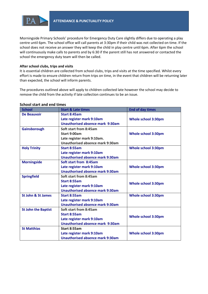

Morningside Primary Schools' procedure for Emergency Duty Care slightly differs due to operating a play centre until 6pm. The school office will call parents at 3:30pm if their child was not collected on time. If the school does not receive an answer they will keep the child in play centre until 6pm. After 6pm the school will continuously make calls to parents and by 6:30 if the parent still has not answered or contacted the school the emergency duty team will then be called.

#### **After school clubs, trips and visits**

It is essential children are collected from school clubs, trips and visits at the time specified. Whilst every effort is made to ensure children return from trips on time, in the event that children will be returning later than expected, the school will inform parents.

The procedures outlined above will apply to children collected late however the school may decide to remove the child from the activity if late collection continues to be an issue.

#### <span id="page-11-0"></span>**School start and end times**

| <b>School</b>                 | <b>Start &amp; Late times</b>           | <b>End of day times</b>    |
|-------------------------------|-----------------------------------------|----------------------------|
| De Beauvoir                   | Start 8:45am                            |                            |
|                               | Late register mark 9:10am               | <b>Whole school 3:30pm</b> |
|                               | <b>Unauthorised absence mark 9:30am</b> |                            |
| Gainsborough                  | Soft start from 8:45am                  |                            |
|                               | Start 9:00am                            | <b>Whole school 3:30pm</b> |
|                               | Late register mark 9:10am.              |                            |
|                               | Unauthorised absence mark 9:30am        |                            |
| <b>Holy Trinity</b>           | <b>Start 8:55am</b>                     | <b>Whole school 3:30pm</b> |
|                               | Late register mark 9:10am               |                            |
|                               | <b>Unauthorised absence mark 9:30am</b> |                            |
| <b>Morningside</b>            | Soft start from 8:45am                  |                            |
|                               | Late register mark 9:10am               | <b>Whole school 3:30pm</b> |
|                               | Unauthorised absence mark 9:30am        |                            |
| <b>Springfield</b>            | Soft start from 8:45am                  |                            |
|                               | Start 8:55am                            | <b>Whole school 3:30pm</b> |
|                               | Late register mark 9:10am               |                            |
|                               | <b>Unauthorised absence mark 9:30am</b> |                            |
| <b>St John &amp; St James</b> | Start 8:55am                            | <b>Whole school 3:30pm</b> |
|                               | Late register mark 9:10am               |                            |
|                               | <b>Unauthorised absence mark 9:30am</b> |                            |
| <b>St John the Baptist</b>    | Soft start from 8:45am                  |                            |
|                               | Start 8:55am                            | <b>Whole school 3:30pm</b> |
|                               | Late register mark 9:10am               |                            |
|                               | <b>Unauthorised absence mark 9:30am</b> |                            |
| <b>St Matthias</b>            | Start 8:55am                            |                            |
|                               | Late register mark 9:10am               | <b>Whole school 3:30pm</b> |
|                               | <b>Unauthorised absence mark 9:30am</b> |                            |